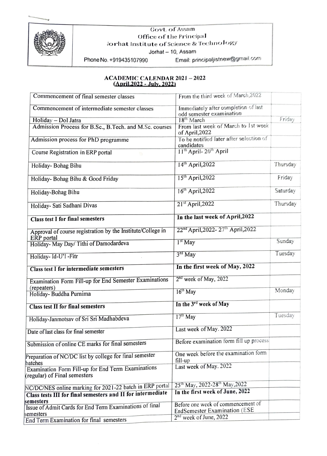



Govt. of Assam Office of the Principal Jorhat Institute of Science & Technology

Jorhat - 10, Assam

Phone No. +919435107990 Email: principaljistnew@grnail.com

## ACADEMIC CALENDAR 2021-2022 (April2022-July, 2022)

| Commencement of final semester classes                                             | From the third week of March, 2022                               |          |
|------------------------------------------------------------------------------------|------------------------------------------------------------------|----------|
| Commencement of intermediate semester classes                                      | Immediately after completion of last<br>odd semester examination |          |
| Holiday - Dol Jatra                                                                | 18 <sup>th</sup> March                                           | Friday   |
| Admission Process for B.Sc., B.Tech. and M.Sc. courses                             | From last week of March to 1st week<br>of April, 2022            |          |
| Admission process for PhD programme                                                | To be notified later after selection of<br>candidates            |          |
| Course Registration in ERP portal                                                  | 11 <sup>th</sup> April-20 <sup>th</sup> April                    |          |
| Holiday- Bohag Bihu                                                                | 14 <sup>th</sup> April, 2022                                     | Thursday |
| Holiday- Bohag Bihu & Good Friday                                                  | $15th$ April, 2022                                               | Friday   |
| Holiday-Bohag Bihu                                                                 | 16 <sup>th</sup> April, 2022                                     | Saturday |
| Holiday- Sati Sadhani Divas                                                        | $21st$ April, 2022                                               | Thursday |
| <b>Class test I for final semesters</b>                                            | In the last week of April, 2022                                  |          |
| Approval of course registration by the Institute/College in<br>ERP portal          | 22 <sup>nd</sup> April, 2022-27 <sup>th</sup> April, 2022        |          |
| Holiday- May Day/ Tithi of Damodardeva                                             | $1st$ May                                                        | Sunday   |
| Holiday- Id-U'l -Fitr                                                              | $3rd$ May                                                        | Tuesday  |
| <b>Class test I for intermediate semesters</b>                                     | In the first week of May, 2022                                   |          |
| Examination Form Fill-up for End Semester Examinations<br>(repeaters)              | 2 <sup>nd</sup> week of May, 2022                                |          |
| Holiday-Buddha Purnima                                                             | $16th$ May                                                       | Monday   |
| <b>Class test II for final semesters</b>                                           | In the 3rd week of May                                           |          |
| Holiday-Janmotsav of Sri Sri Madhabdeva                                            | $17th$ May                                                       | Tuesday  |
| Date of last class for final semester                                              | Last week of May. 2022                                           |          |
| Submission of online CE marks for final semesters                                  | Before examination form fill up process                          |          |
| Preparation of NC/DC list by college for final semester<br>batches                 | One week before the examination form<br>fill-up                  |          |
| Examination Form Fill-up for End Term Examinations<br>(regular) of Final semesters | Last week of May. 2022                                           |          |
| NC/DC/NES online marking for 2021-22 batch in ERP portal                           | 25 <sup>th</sup> May, 2022-28 <sup>th</sup> May, 2022            |          |
| Class tests III for final semesters and II for intermediate                        | In the first week of June, 2022                                  |          |
| semesters<br>Issue of Admit Cards for End Term Examinations of final               | Before one week of commencement of                               |          |
|                                                                                    | <b>EndSemester Examination (ESE</b>                              |          |
| semesters<br>End Term Examination for final semesters                              | $2nd$ week of June, 2022                                         |          |
|                                                                                    |                                                                  |          |